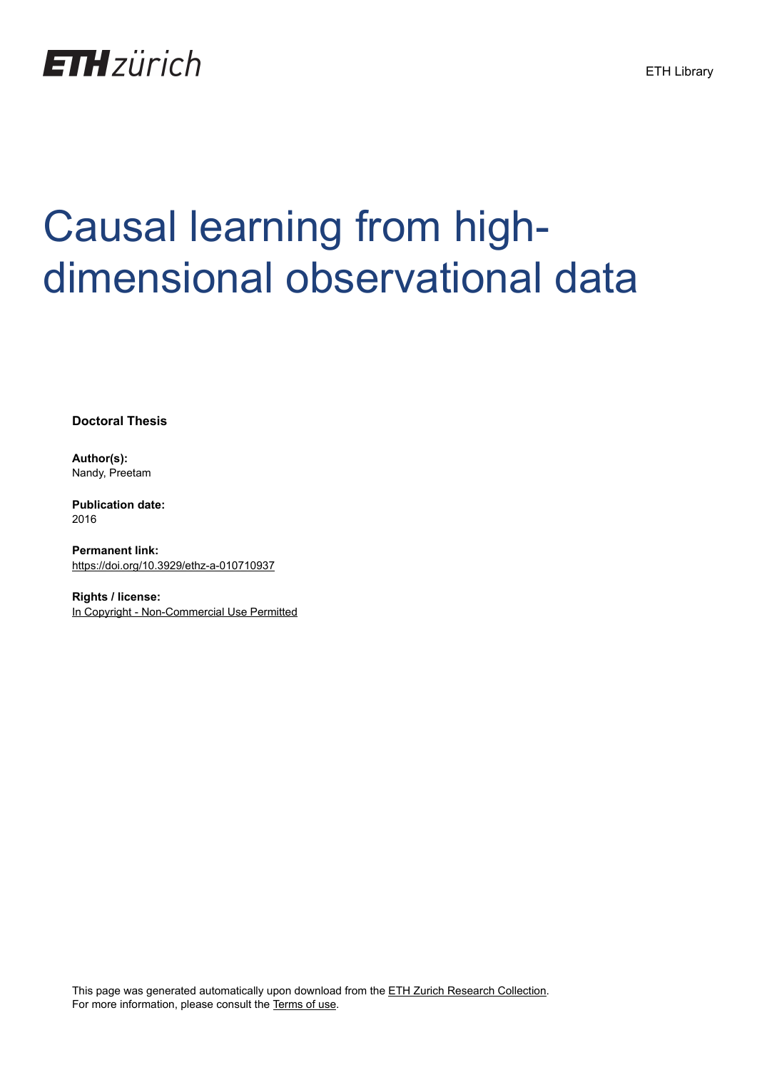

## Causal learning from highdimensional observational data

**Doctoral Thesis**

**Author(s):** Nandy, Preetam

**Publication date:** 2016

**Permanent link:** <https://doi.org/10.3929/ethz-a-010710937>

**Rights / license:** [In Copyright - Non-Commercial Use Permitted](http://rightsstatements.org/page/InC-NC/1.0/)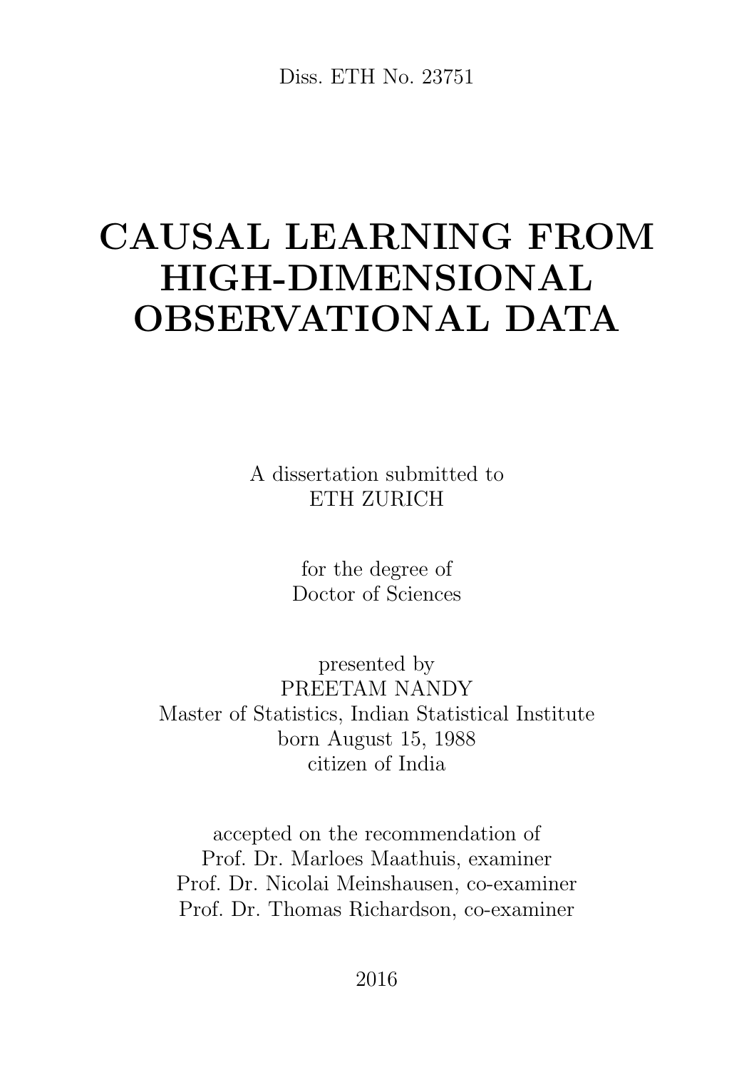Diss. ETH No. 23751

## CAUSAL LEARNING FROM HIGH-DIMENSIONAL OBSERVATIONAL DATA

A dissertation submitted to ETH ZURICH

> for the degree of Doctor of Sciences

presented by PREETAM NANDY Master of Statistics, Indian Statistical Institute born August 15, 1988 citizen of India

accepted on the recommendation of Prof. Dr. Marloes Maathuis, examiner Prof. Dr. Nicolai Meinshausen, co-examiner Prof. Dr. Thomas Richardson, co-examiner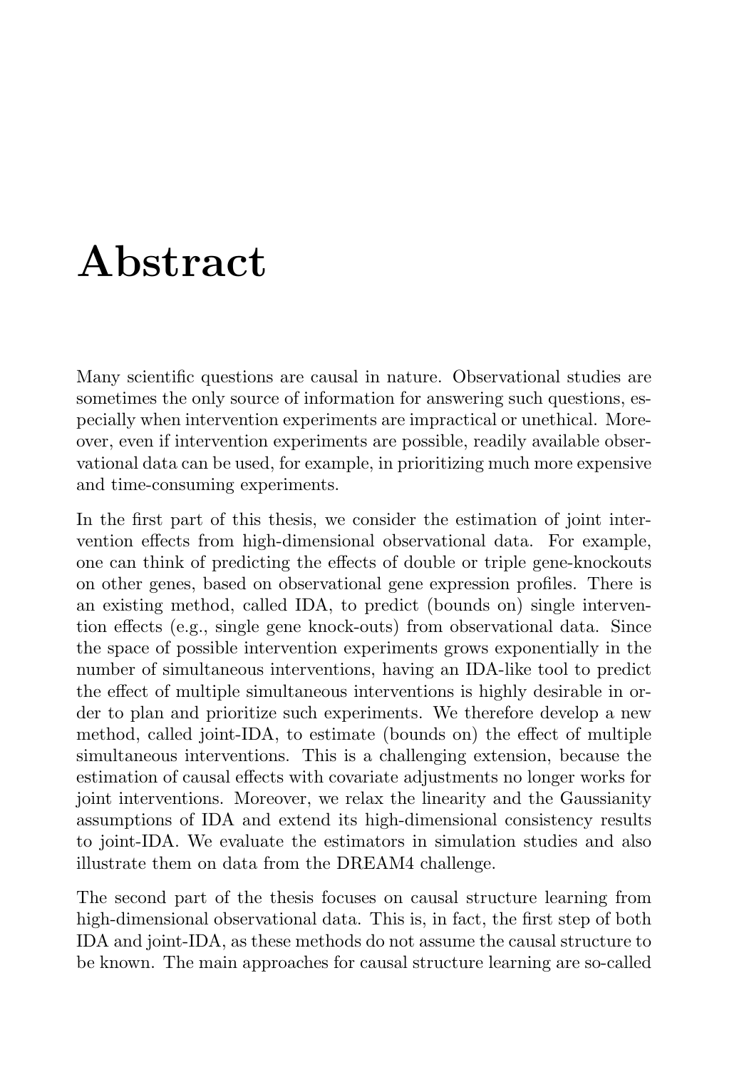## Abstract

Many scientific questions are causal in nature. Observational studies are sometimes the only source of information for answering such questions, especially when intervention experiments are impractical or unethical. Moreover, even if intervention experiments are possible, readily available observational data can be used, for example, in prioritizing much more expensive and time-consuming experiments.

In the first part of this thesis, we consider the estimation of joint intervention effects from high-dimensional observational data. For example, one can think of predicting the effects of double or triple gene-knockouts on other genes, based on observational gene expression profiles. There is an existing method, called IDA, to predict (bounds on) single intervention effects (e.g., single gene knock-outs) from observational data. Since the space of possible intervention experiments grows exponentially in the number of simultaneous interventions, having an IDA-like tool to predict the effect of multiple simultaneous interventions is highly desirable in order to plan and prioritize such experiments. We therefore develop a new method, called joint-IDA, to estimate (bounds on) the effect of multiple simultaneous interventions. This is a challenging extension, because the estimation of causal effects with covariate adjustments no longer works for joint interventions. Moreover, we relax the linearity and the Gaussianity assumptions of IDA and extend its high-dimensional consistency results to joint-IDA. We evaluate the estimators in simulation studies and also illustrate them on data from the DREAM4 challenge.

The second part of the thesis focuses on causal structure learning from high-dimensional observational data. This is, in fact, the first step of both IDA and joint-IDA, as these methods do not assume the causal structure to be known. The main approaches for causal structure learning are so-called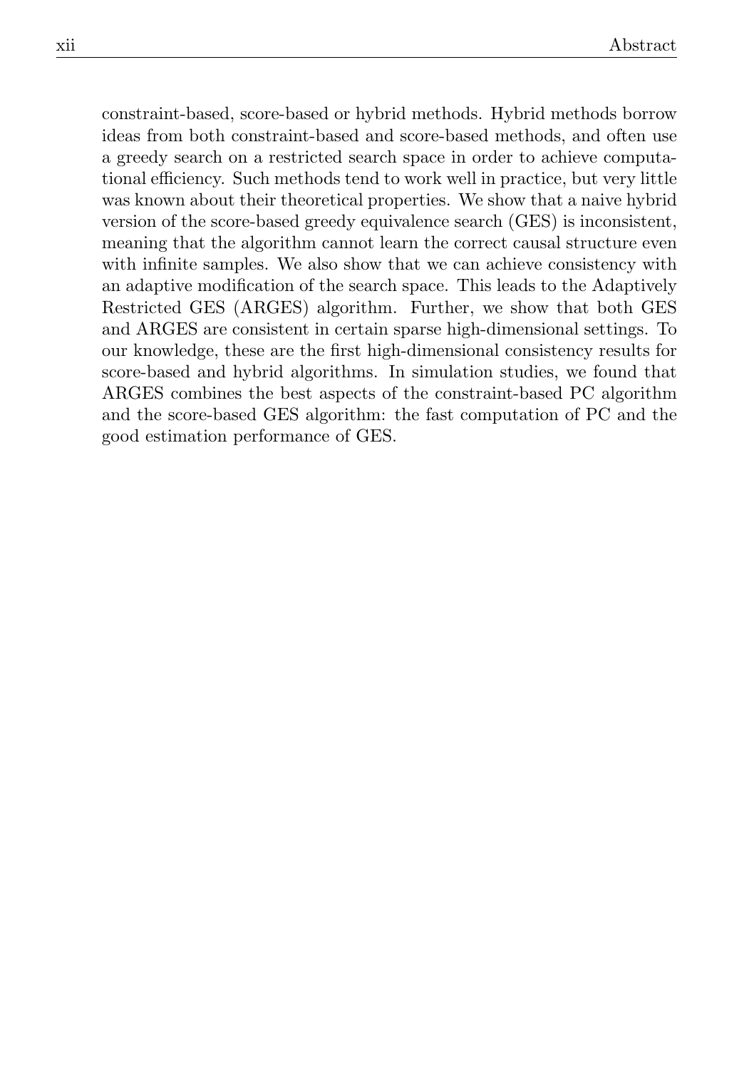constraint-based, score-based or hybrid methods. Hybrid methods borrow ideas from both constraint-based and score-based methods, and often use a greedy search on a restricted search space in order to achieve computational efficiency. Such methods tend to work well in practice, but very little was known about their theoretical properties. We show that a naive hybrid version of the score-based greedy equivalence search (GES) is inconsistent, meaning that the algorithm cannot learn the correct causal structure even with infinite samples. We also show that we can achieve consistency with an adaptive modification of the search space. This leads to the Adaptively Restricted GES (ARGES) algorithm. Further, we show that both GES and ARGES are consistent in certain sparse high-dimensional settings. To our knowledge, these are the first high-dimensional consistency results for score-based and hybrid algorithms. In simulation studies, we found that ARGES combines the best aspects of the constraint-based PC algorithm and the score-based GES algorithm: the fast computation of PC and the good estimation performance of GES.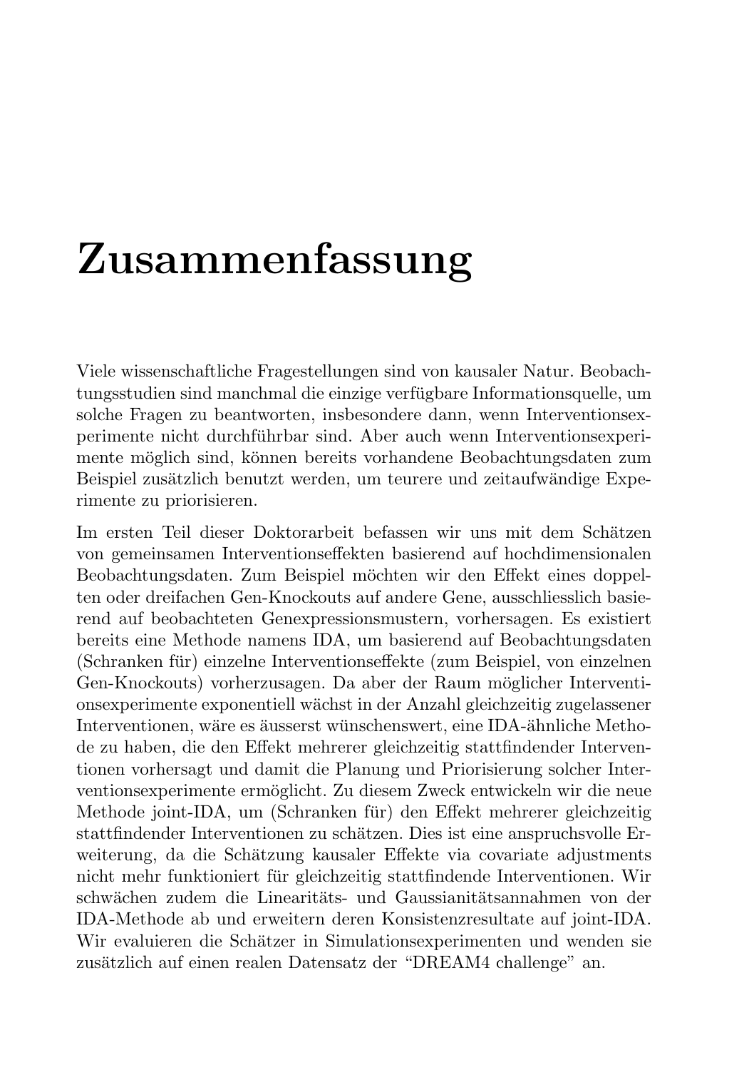## Zusammenfassung

Viele wissenschaftliche Fragestellungen sind von kausaler Natur. Beobachtungsstudien sind manchmal die einzige verfugbare Informationsquelle, um ¨ solche Fragen zu beantworten, insbesondere dann, wenn Interventionsexperimente nicht durchführbar sind. Aber auch wenn Interventionsexperimente möglich sind, können bereits vorhandene Beobachtungsdaten zum Beispiel zusätzlich benutzt werden, um teurere und zeitaufwändige Experimente zu priorisieren.

Im ersten Teil dieser Doktorarbeit befassen wir uns mit dem Schätzen von gemeinsamen Interventionseffekten basierend auf hochdimensionalen Beobachtungsdaten. Zum Beispiel möchten wir den Effekt eines doppelten oder dreifachen Gen-Knockouts auf andere Gene, ausschliesslich basierend auf beobachteten Genexpressionsmustern, vorhersagen. Es existiert bereits eine Methode namens IDA, um basierend auf Beobachtungsdaten (Schranken für) einzelne Interventionseffekte (zum Beispiel, von einzelnen Gen-Knockouts) vorherzusagen. Da aber der Raum möglicher Interventionsexperimente exponentiell w¨achst in der Anzahl gleichzeitig zugelassener Interventionen, wäre es äusserst wünschenswert, eine IDA-ähnliche Methode zu haben, die den Effekt mehrerer gleichzeitig stattfindender Interventionen vorhersagt und damit die Planung und Priorisierung solcher Interventionsexperimente ermöglicht. Zu diesem Zweck entwickeln wir die neue Methode joint-IDA, um (Schranken für) den Effekt mehrerer gleichzeitig stattfindender Interventionen zu schätzen. Dies ist eine anspruchsvolle Erweiterung, da die Schätzung kausaler Effekte via covariate adjustments nicht mehr funktioniert fur gleichzeitig stattfindende Interventionen. Wir ¨ schwächen zudem die Linearitäts- und Gaussianitätsannahmen von der IDA-Methode ab und erweitern deren Konsistenzresultate auf joint-IDA. Wir evaluieren die Schätzer in Simulationsexperimenten und wenden sie zusätzlich auf einen realen Datensatz der "DREAM4 challenge" an.